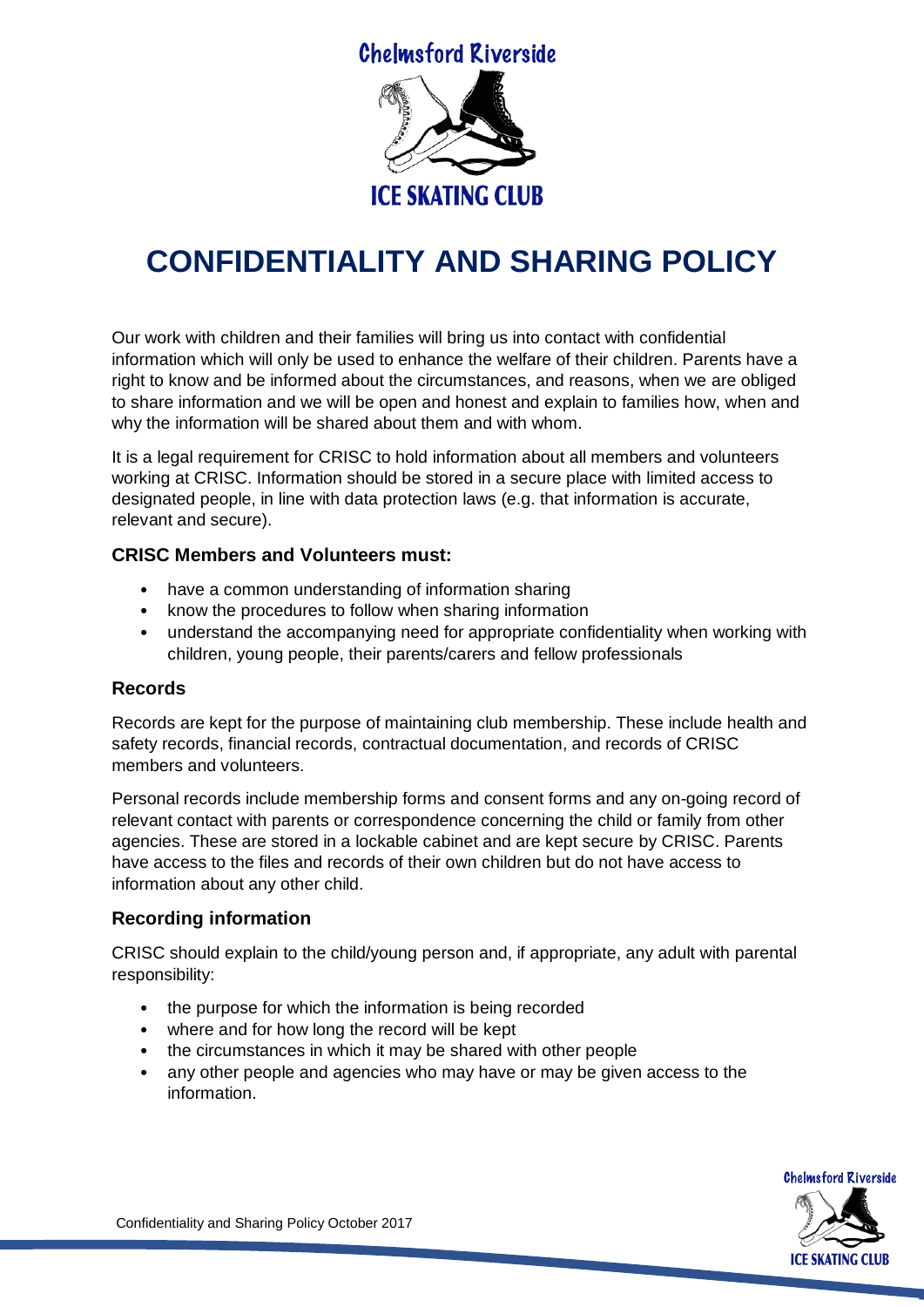**Chelmsford Riverside** 



# **CONFIDENTIALITY AND SHARING POLICY**

Our work with children and their families will bring us into contact with confidential information which will only be used to enhance the welfare of their children. Parents have a right to know and be informed about the circumstances, and reasons, when we are obliged to share information and we will be open and honest and explain to families how, when and why the information will be shared about them and with whom.

It is a legal requirement for CRISC to hold information about all members and volunteers working at CRISC. Information should be stored in a secure place with limited access to designated people, in line with data protection laws (e.g. that information is accurate, relevant and secure).

#### **CRISC Members and Volunteers must:**

- have a common understanding of information sharing
- know the procedures to follow when sharing information
- understand the accompanying need for appropriate confidentiality when working with children, young people, their parents/carers and fellow professionals

#### **Records**

Records are kept for the purpose of maintaining club membership. These include health and safety records, financial records, contractual documentation, and records of CRISC members and volunteers.

Personal records include membership forms and consent forms and any on-going record of relevant contact with parents or correspondence concerning the child or family from other agencies. These are stored in a lockable cabinet and are kept secure by CRISC. Parents have access to the files and records of their own children but do not have access to information about any other child.

#### **Recording information**

CRISC should explain to the child/young person and, if appropriate, any adult with parental responsibility:

- the purpose for which the information is being recorded
- where and for how long the record will be kept
- the circumstances in which it may be shared with other people
- any other people and agencies who may have or may be given access to the information.

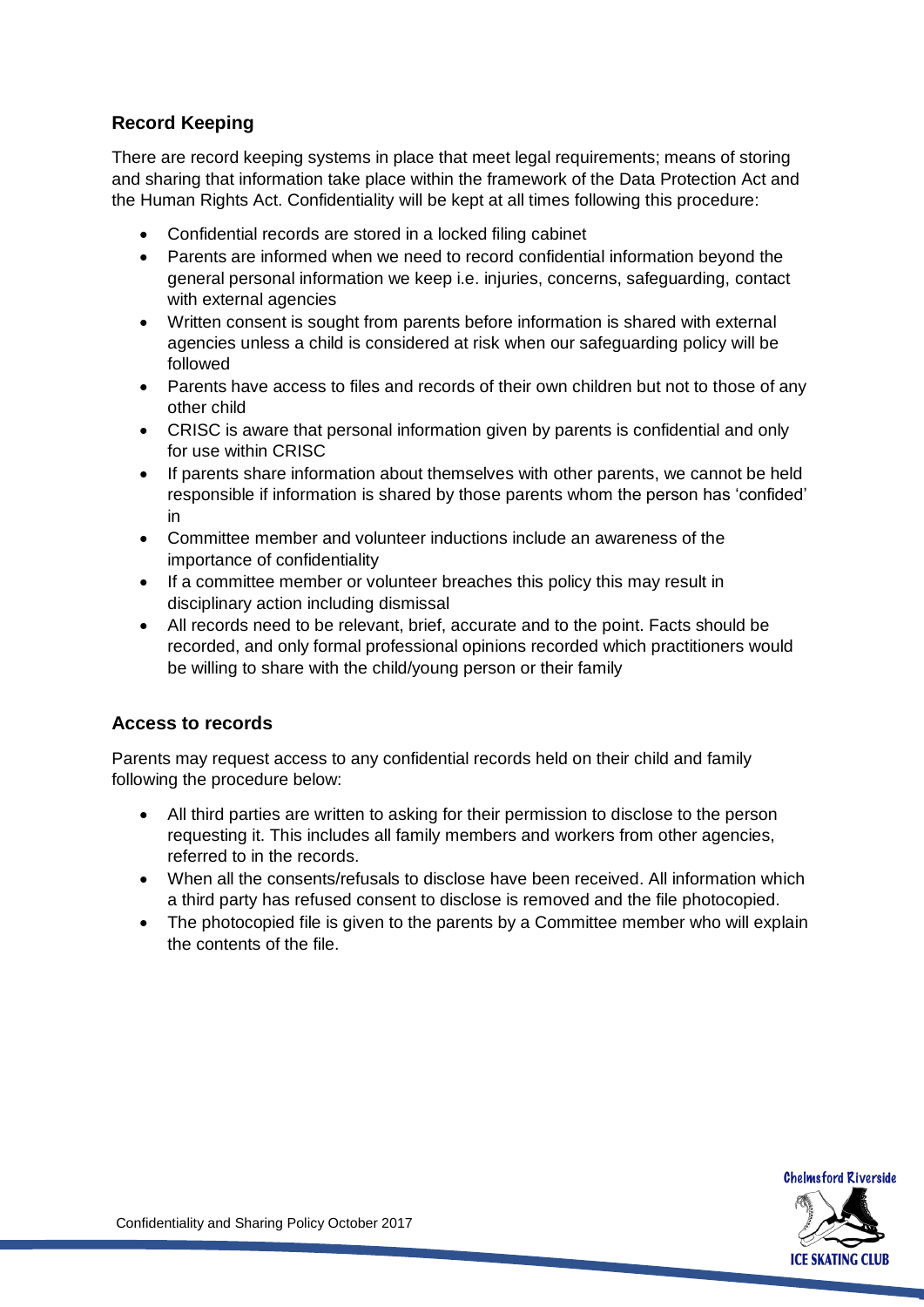### **Record Keeping**

There are record keeping systems in place that meet legal requirements; means of storing and sharing that information take place within the framework of the Data Protection Act and the Human Rights Act. Confidentiality will be kept at all times following this procedure:

- Confidential records are stored in a locked filing cabinet
- Parents are informed when we need to record confidential information beyond the general personal information we keep i.e. injuries, concerns, safeguarding, contact with external agencies
- Written consent is sought from parents before information is shared with external agencies unless a child is considered at risk when our safeguarding policy will be followed
- Parents have access to files and records of their own children but not to those of any other child
- CRISC is aware that personal information given by parents is confidential and only for use within CRISC
- If parents share information about themselves with other parents, we cannot be held responsible if information is shared by those parents whom the person has 'confided' in
- Committee member and volunteer inductions include an awareness of the importance of confidentiality
- If a committee member or volunteer breaches this policy this may result in disciplinary action including dismissal
- All records need to be relevant, brief, accurate and to the point. Facts should be recorded, and only formal professional opinions recorded which practitioners would be willing to share with the child/young person or their family

#### **Access to records**

Parents may request access to any confidential records held on their child and family following the procedure below:

- All third parties are written to asking for their permission to disclose to the person requesting it. This includes all family members and workers from other agencies, referred to in the records.
- When all the consents/refusals to disclose have been received. All information which a third party has refused consent to disclose is removed and the file photocopied.
- The photocopied file is given to the parents by a Committee member who will explain the contents of the file.